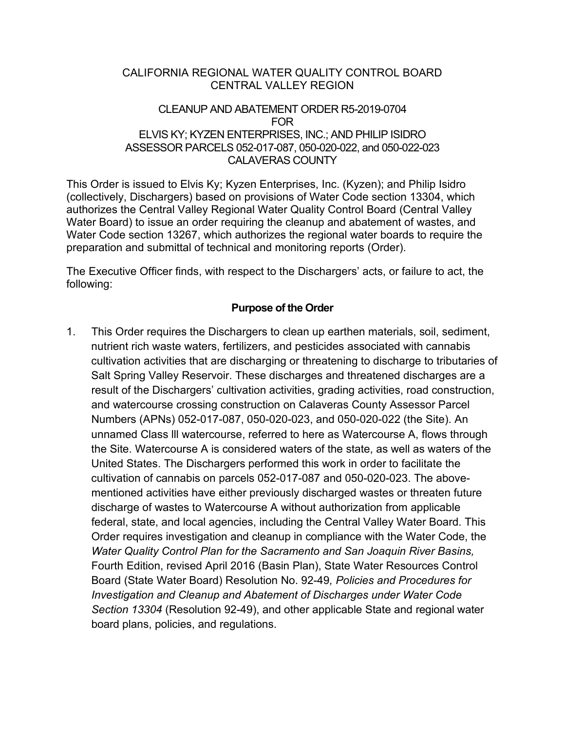#### CALIFORNIA REGIONAL WATER QUALITY CONTROL BOARD CENTRAL VALLEY REGION

#### CLEANUP AND ABATEMENT ORDER R5-2019-0704 FOR ELVIS KY; KYZEN ENTERPRISES, INC.; AND PHILIP ISIDRO ASSESSOR PARCELS 052-017-087, 050-020-022, and 050-022-023 CALAVERAS COUNTY

This Order is issued to Elvis Ky; Kyzen Enterprises, Inc. (Kyzen); and Philip Isidro (collectively, Dischargers) based on provisions of Water Code section 13304, which authorizes the Central Valley Regional Water Quality Control Board (Central Valley Water Board) to issue an order requiring the cleanup and abatement of wastes, and Water Code section 13267, which authorizes the regional water boards to require the preparation and submittal of technical and monitoring reports (Order).

The Executive Officer finds, with respect to the Dischargers' acts, or failure to act, the following:

## **Purpose of the Order**

1. This Order requires the Dischargers to clean up earthen materials, soil, sediment, nutrient rich waste waters, fertilizers, and pesticides associated with cannabis cultivation activities that are discharging or threatening to discharge to tributaries of Salt Spring Valley Reservoir. These discharges and threatened discharges are a result of the Dischargers' cultivation activities, grading activities, road construction, and watercourse crossing construction on Calaveras County Assessor Parcel Numbers (APNs) 052-017-087, 050-020-023, and 050-020-022 (the Site). An unnamed Class lll watercourse, referred to here as Watercourse A, flows through the Site. Watercourse A is considered waters of the state, as well as waters of the United States. The Dischargers performed this work in order to facilitate the cultivation of cannabis on parcels 052-017-087 and 050-020-023. The abovementioned activities have either previously discharged wastes or threaten future discharge of wastes to Watercourse A without authorization from applicable federal, state, and local agencies, including the Central Valley Water Board. This Order requires investigation and cleanup in compliance with the Water Code, the *Water Quality Control Plan for the Sacramento and San Joaquin River Basins,*  Fourth Edition, revised April 2016 (Basin Plan), State Water Resources Control Board (State Water Board) Resolution No. 92-49*, Policies and Procedures for Investigation and Cleanup and Abatement of Discharges under Water Code Section 13304* (Resolution 92-49), and other applicable State and regional water board plans, policies, and regulations.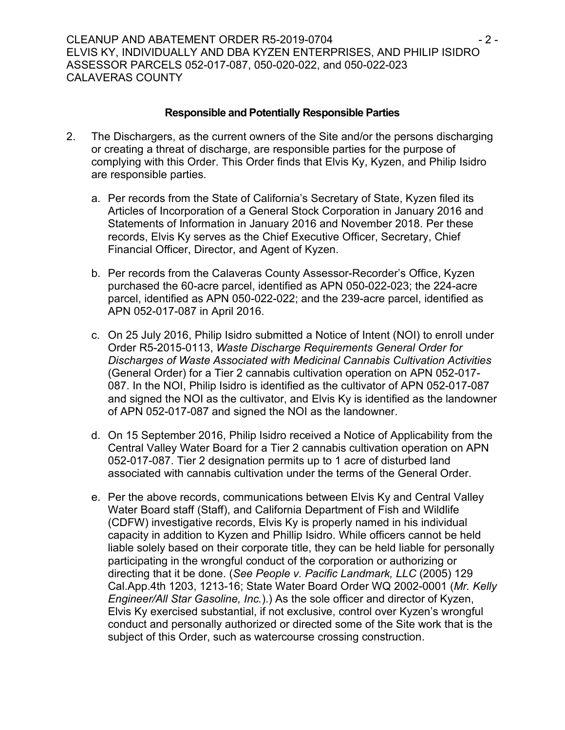#### **Responsible and Potentially Responsible Parties**

- 2. The Dischargers, as the current owners of the Site and/or the persons discharging or creating a threat of discharge, are responsible parties for the purpose of complying with this Order. This Order finds that Elvis Ky, Kyzen, and Philip Isidro are responsible parties.
	- a. Per records from the State of California's Secretary of State, Kyzen filed its Articles of Incorporation of a General Stock Corporation in January 2016 and Statements of Information in January 2016 and November 2018. Per these records, Elvis Ky serves as the Chief Executive Officer, Secretary, Chief Financial Officer, Director, and Agent of Kyzen.
	- b. Per records from the Calaveras County Assessor-Recorder's Office, Kyzen purchased the 60-acre parcel, identified as APN 050-022-023; the 224-acre parcel, identified as APN 050-022-022; and the 239-acre parcel, identified as APN 052-017-087 in April 2016.
	- c. On 25 July 2016, Philip Isidro submitted a Notice of Intent (NOI) to enroll under Order R5-2015-0113, *Waste Discharge Requirements General Order for Discharges of Waste Associated with Medicinal Cannabis Cultivation Activities*  (General Order) for a Tier 2 cannabis cultivation operation on APN 052-017- 087. In the NOI, Philip Isidro is identified as the cultivator of APN 052-017-087 and signed the NOI as the cultivator, and Elvis Ky is identified as the landowner of APN 052-017-087 and signed the NOI as the landowner.
	- d. On 15 September 2016, Philip Isidro received a Notice of Applicability from the Central Valley Water Board for a Tier 2 cannabis cultivation operation on APN 052-017-087. Tier 2 designation permits up to 1 acre of disturbed land associated with cannabis cultivation under the terms of the General Order.
	- e. Per the above records, communications between Elvis Ky and Central Valley Water Board staff (Staff), and California Department of Fish and Wildlife (CDFW) investigative records, Elvis Ky is properly named in his individual capacity in addition to Kyzen and Phillip Isidro. While officers cannot be held liable solely based on their corporate title, they can be held liable for personally participating in the wrongful conduct of the corporation or authorizing or directing that it be done. (*See People v. Pacific Landmark, LLC* (2005) 129 Cal.App.4th 1203, 1213-16; State Water Board Order WQ 2002-0001 (*Mr. Kelly Engineer/All Star Gasoline, Inc.*).) As the sole officer and director of Kyzen, Elvis Ky exercised substantial, if not exclusive, control over Kyzen's wrongful conduct and personally authorized or directed some of the Site work that is the subject of this Order, such as watercourse crossing construction.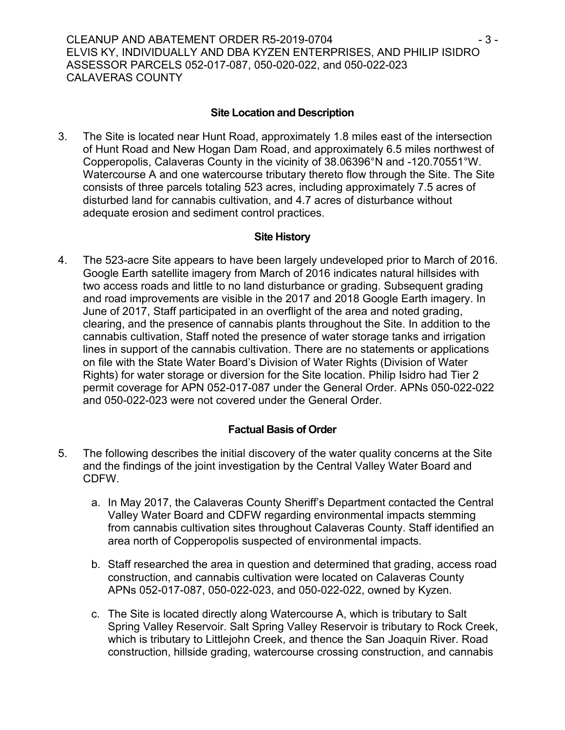## **Site Location and Description**

3. The Site is located near Hunt Road, approximately 1.8 miles east of the intersection of Hunt Road and New Hogan Dam Road, and approximately 6.5 miles northwest of Copperopolis, Calaveras County in the vicinity of 38.06396°N and -120.70551°W. Watercourse A and one watercourse tributary thereto flow through the Site. The Site consists of three parcels totaling 523 acres, including approximately 7.5 acres of disturbed land for cannabis cultivation, and 4.7 acres of disturbance without adequate erosion and sediment control practices.

### **Site History**

4. The 523-acre Site appears to have been largely undeveloped prior to March of 2016. Google Earth satellite imagery from March of 2016 indicates natural hillsides with two access roads and little to no land disturbance or grading. Subsequent grading and road improvements are visible in the 2017 and 2018 Google Earth imagery. In June of 2017, Staff participated in an overflight of the area and noted grading, clearing, and the presence of cannabis plants throughout the Site. In addition to the cannabis cultivation, Staff noted the presence of water storage tanks and irrigation lines in support of the cannabis cultivation. There are no statements or applications on file with the State Water Board's Division of Water Rights (Division of Water Rights) for water storage or diversion for the Site location. Philip Isidro had Tier 2 permit coverage for APN 052-017-087 under the General Order. APNs 050-022-022 and 050-022-023 were not covered under the General Order.

# **Factual Basis of Order**

- 5. The following describes the initial discovery of the water quality concerns at the Site and the findings of the joint investigation by the Central Valley Water Board and CDFW.
	- a. In May 2017, the Calaveras County Sheriff's Department contacted the Central Valley Water Board and CDFW regarding environmental impacts stemming from cannabis cultivation sites throughout Calaveras County. Staff identified an area north of Copperopolis suspected of environmental impacts.
	- b. Staff researched the area in question and determined that grading, access road construction, and cannabis cultivation were located on Calaveras County APNs 052-017-087, 050-022-023, and 050-022-022, owned by Kyzen.
	- c. The Site is located directly along Watercourse A, which is tributary to Salt Spring Valley Reservoir. Salt Spring Valley Reservoir is tributary to Rock Creek, which is tributary to Littlejohn Creek, and thence the San Joaquin River. Road construction, hillside grading, watercourse crossing construction, and cannabis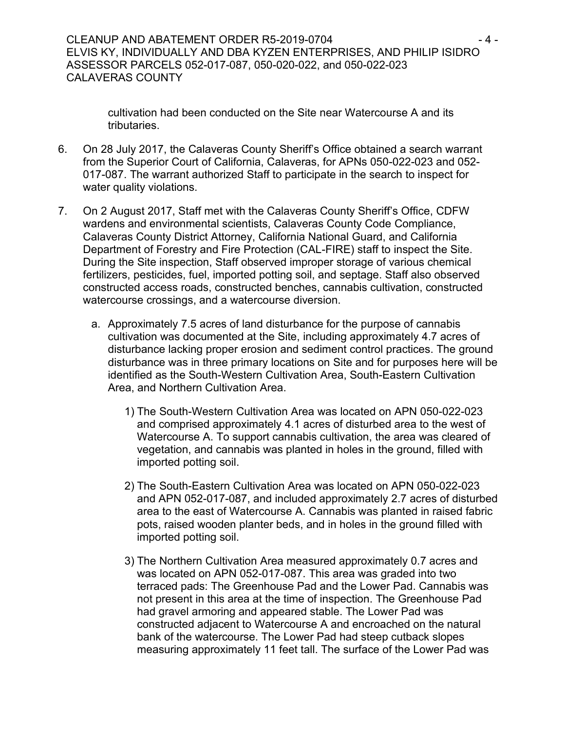cultivation had been conducted on the Site near Watercourse A and its tributaries.

- 6. On 28 July 2017, the Calaveras County Sheriff's Office obtained a search warrant from the Superior Court of California, Calaveras, for APNs 050-022-023 and 052- 017-087. The warrant authorized Staff to participate in the search to inspect for water quality violations.
- 7. On 2 August 2017, Staff met with the Calaveras County Sheriff's Office, CDFW wardens and environmental scientists, Calaveras County Code Compliance, Calaveras County District Attorney, California National Guard, and California Department of Forestry and Fire Protection (CAL-FIRE) staff to inspect the Site. During the Site inspection, Staff observed improper storage of various chemical fertilizers, pesticides, fuel, imported potting soil, and septage. Staff also observed constructed access roads, constructed benches, cannabis cultivation, constructed watercourse crossings, and a watercourse diversion.
	- a. Approximately 7.5 acres of land disturbance for the purpose of cannabis cultivation was documented at the Site, including approximately 4.7 acres of disturbance lacking proper erosion and sediment control practices. The ground disturbance was in three primary locations on Site and for purposes here will be identified as the South-Western Cultivation Area, South-Eastern Cultivation Area, and Northern Cultivation Area.
		- 1) The South-Western Cultivation Area was located on APN 050-022-023 and comprised approximately 4.1 acres of disturbed area to the west of Watercourse A. To support cannabis cultivation, the area was cleared of vegetation, and cannabis was planted in holes in the ground, filled with imported potting soil.
		- 2) The South-Eastern Cultivation Area was located on APN 050-022-023 and APN 052-017-087, and included approximately 2.7 acres of disturbed area to the east of Watercourse A. Cannabis was planted in raised fabric pots, raised wooden planter beds, and in holes in the ground filled with imported potting soil.
		- 3) The Northern Cultivation Area measured approximately 0.7 acres and was located on APN 052-017-087. This area was graded into two terraced pads: The Greenhouse Pad and the Lower Pad. Cannabis was not present in this area at the time of inspection. The Greenhouse Pad had gravel armoring and appeared stable. The Lower Pad was constructed adjacent to Watercourse A and encroached on the natural bank of the watercourse. The Lower Pad had steep cutback slopes measuring approximately 11 feet tall. The surface of the Lower Pad was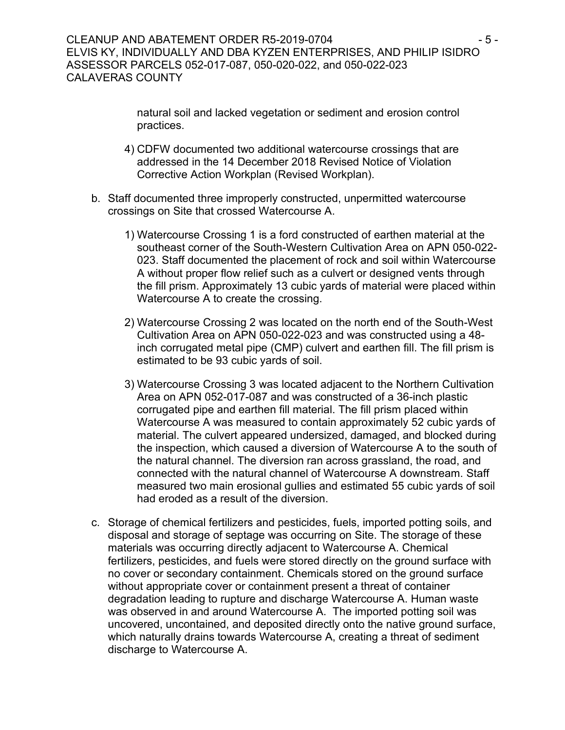natural soil and lacked vegetation or sediment and erosion control practices.

- 4) CDFW documented two additional watercourse crossings that are addressed in the 14 December 2018 Revised Notice of Violation Corrective Action Workplan (Revised Workplan).
- b. Staff documented three improperly constructed, unpermitted watercourse crossings on Site that crossed Watercourse A.
	- 1) Watercourse Crossing 1 is a ford constructed of earthen material at the southeast corner of the South-Western Cultivation Area on APN 050-022- 023. Staff documented the placement of rock and soil within Watercourse A without proper flow relief such as a culvert or designed vents through the fill prism. Approximately 13 cubic yards of material were placed within Watercourse A to create the crossing.
	- 2) Watercourse Crossing 2 was located on the north end of the South-West Cultivation Area on APN 050-022-023 and was constructed using a 48 inch corrugated metal pipe (CMP) culvert and earthen fill. The fill prism is estimated to be 93 cubic yards of soil.
	- 3) Watercourse Crossing 3 was located adjacent to the Northern Cultivation Area on APN 052-017-087 and was constructed of a 36-inch plastic corrugated pipe and earthen fill material. The fill prism placed within Watercourse A was measured to contain approximately 52 cubic yards of material. The culvert appeared undersized, damaged, and blocked during the inspection, which caused a diversion of Watercourse A to the south of the natural channel. The diversion ran across grassland, the road, and connected with the natural channel of Watercourse A downstream. Staff measured two main erosional gullies and estimated 55 cubic yards of soil had eroded as a result of the diversion.
- c. Storage of chemical fertilizers and pesticides, fuels, imported potting soils, and disposal and storage of septage was occurring on Site. The storage of these materials was occurring directly adjacent to Watercourse A. Chemical fertilizers, pesticides, and fuels were stored directly on the ground surface with no cover or secondary containment. Chemicals stored on the ground surface without appropriate cover or containment present a threat of container degradation leading to rupture and discharge Watercourse A. Human waste was observed in and around Watercourse A. The imported potting soil was uncovered, uncontained, and deposited directly onto the native ground surface, which naturally drains towards Watercourse A, creating a threat of sediment discharge to Watercourse A.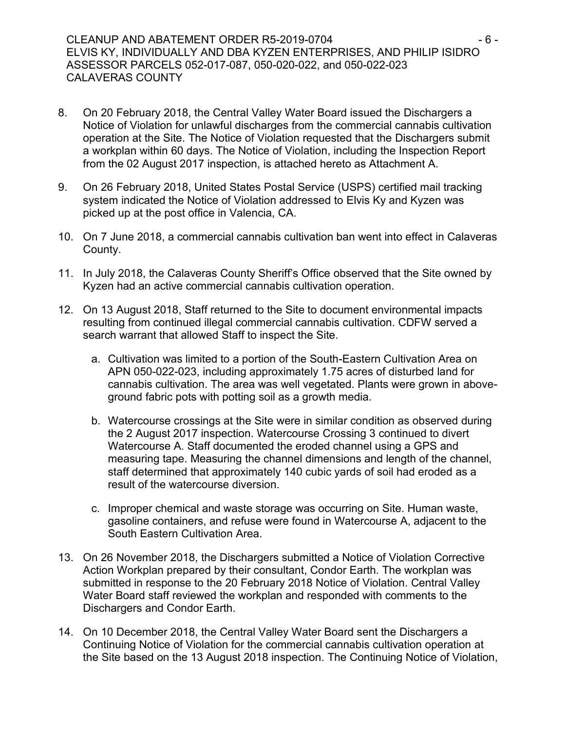#### CLEANUP AND ABATEMENT ORDER R5-2019-0704  $-6 -$ ELVIS KY, INDIVIDUALLY AND DBA KYZEN ENTERPRISES, AND PHILIP ISIDRO ASSESSOR PARCELS 052-017-087, 050-020-022, and 050-022-023 CALAVERAS COUNTY

- 8. On 20 February 2018, the Central Valley Water Board issued the Dischargers a Notice of Violation for unlawful discharges from the commercial cannabis cultivation operation at the Site. The Notice of Violation requested that the Dischargers submit a workplan within 60 days. The Notice of Violation, including the Inspection Report from the 02 August 2017 inspection, is attached hereto as Attachment A.
- 9. On 26 February 2018, United States Postal Service (USPS) certified mail tracking system indicated the Notice of Violation addressed to Elvis Ky and Kyzen was picked up at the post office in Valencia, CA.
- 10. On 7 June 2018, a commercial cannabis cultivation ban went into effect in Calaveras County.
- 11. In July 2018, the Calaveras County Sheriff's Office observed that the Site owned by Kyzen had an active commercial cannabis cultivation operation.
- 12. On 13 August 2018, Staff returned to the Site to document environmental impacts resulting from continued illegal commercial cannabis cultivation. CDFW served a search warrant that allowed Staff to inspect the Site.
	- a. Cultivation was limited to a portion of the South-Eastern Cultivation Area on APN 050-022-023, including approximately 1.75 acres of disturbed land for cannabis cultivation. The area was well vegetated. Plants were grown in aboveground fabric pots with potting soil as a growth media.
	- b. Watercourse crossings at the Site were in similar condition as observed during the 2 August 2017 inspection. Watercourse Crossing 3 continued to divert Watercourse A. Staff documented the eroded channel using a GPS and measuring tape. Measuring the channel dimensions and length of the channel, staff determined that approximately 140 cubic yards of soil had eroded as a result of the watercourse diversion.
	- c. Improper chemical and waste storage was occurring on Site. Human waste, gasoline containers, and refuse were found in Watercourse A, adjacent to the South Eastern Cultivation Area.
- 13. On 26 November 2018, the Dischargers submitted a Notice of Violation Corrective Action Workplan prepared by their consultant, Condor Earth. The workplan was submitted in response to the 20 February 2018 Notice of Violation. Central Valley Water Board staff reviewed the workplan and responded with comments to the Dischargers and Condor Earth.
- 14. On 10 December 2018, the Central Valley Water Board sent the Dischargers a Continuing Notice of Violation for the commercial cannabis cultivation operation at the Site based on the 13 August 2018 inspection. The Continuing Notice of Violation,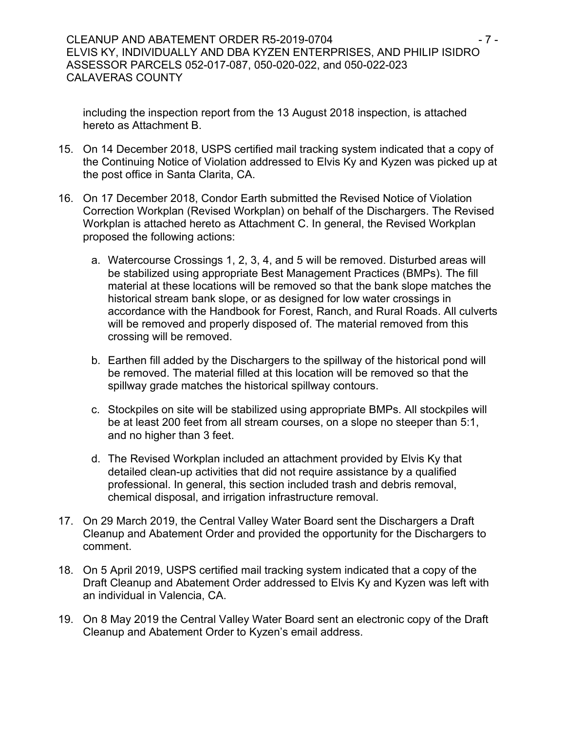including the inspection report from the 13 August 2018 inspection, is attached hereto as Attachment B.

- 15. On 14 December 2018, USPS certified mail tracking system indicated that a copy of the Continuing Notice of Violation addressed to Elvis Ky and Kyzen was picked up at the post office in Santa Clarita, CA.
- 16. On 17 December 2018, Condor Earth submitted the Revised Notice of Violation Correction Workplan (Revised Workplan) on behalf of the Dischargers. The Revised Workplan is attached hereto as Attachment C. In general, the Revised Workplan proposed the following actions:
	- a. Watercourse Crossings 1, 2, 3, 4, and 5 will be removed. Disturbed areas will be stabilized using appropriate Best Management Practices (BMPs). The fill material at these locations will be removed so that the bank slope matches the historical stream bank slope, or as designed for low water crossings in accordance with the Handbook for Forest, Ranch, and Rural Roads. All culverts will be removed and properly disposed of. The material removed from this crossing will be removed.
	- b. Earthen fill added by the Dischargers to the spillway of the historical pond will be removed. The material filled at this location will be removed so that the spillway grade matches the historical spillway contours.
	- c. Stockpiles on site will be stabilized using appropriate BMPs. All stockpiles will be at least 200 feet from all stream courses, on a slope no steeper than 5:1, and no higher than 3 feet.
	- d. The Revised Workplan included an attachment provided by Elvis Ky that detailed clean-up activities that did not require assistance by a qualified professional. In general, this section included trash and debris removal, chemical disposal, and irrigation infrastructure removal.
- 17. On 29 March 2019, the Central Valley Water Board sent the Dischargers a Draft Cleanup and Abatement Order and provided the opportunity for the Dischargers to comment.
- 18. On 5 April 2019, USPS certified mail tracking system indicated that a copy of the Draft Cleanup and Abatement Order addressed to Elvis Ky and Kyzen was left with an individual in Valencia, CA.
- 19. On 8 May 2019 the Central Valley Water Board sent an electronic copy of the Draft Cleanup and Abatement Order to Kyzen's email address.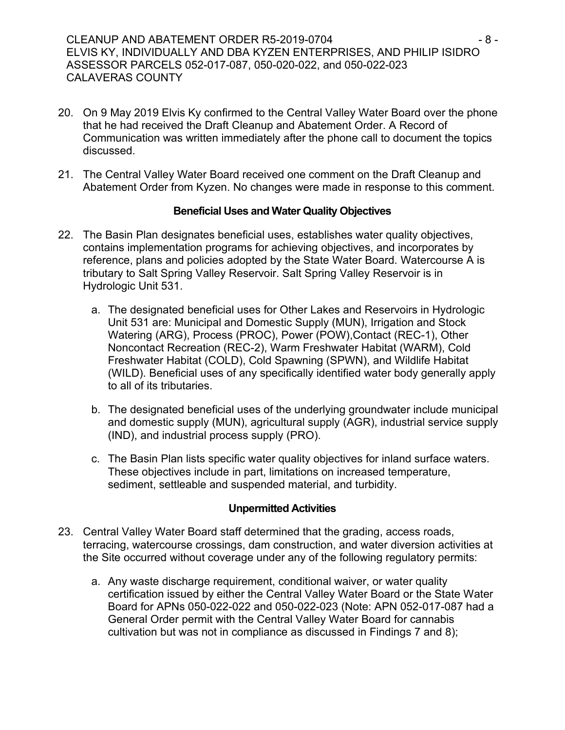CLEANUP AND ABATEMENT ORDER R5-2019-0704 **- 8 -** 8 -ELVIS KY, INDIVIDUALLY AND DBA KYZEN ENTERPRISES, AND PHILIP ISIDRO ASSESSOR PARCELS 052-017-087, 050-020-022, and 050-022-023 CALAVERAS COUNTY

- 20. On 9 May 2019 Elvis Ky confirmed to the Central Valley Water Board over the phone that he had received the Draft Cleanup and Abatement Order. A Record of Communication was written immediately after the phone call to document the topics discussed.
- 21. The Central Valley Water Board received one comment on the Draft Cleanup and Abatement Order from Kyzen. No changes were made in response to this comment.

### **Beneficial Uses and Water Quality Objectives**

- 22. The Basin Plan designates beneficial uses, establishes water quality objectives, contains implementation programs for achieving objectives, and incorporates by reference, plans and policies adopted by the State Water Board. Watercourse A is tributary to Salt Spring Valley Reservoir. Salt Spring Valley Reservoir is in Hydrologic Unit 531.
	- a. The designated beneficial uses for Other Lakes and Reservoirs in Hydrologic Unit 531 are: Municipal and Domestic Supply (MUN), Irrigation and Stock Watering (ARG), Process (PROC), Power (POW),Contact (REC-1), Other Noncontact Recreation (REC-2), Warm Freshwater Habitat (WARM), Cold Freshwater Habitat (COLD), Cold Spawning (SPWN), and Wildlife Habitat (WILD). Beneficial uses of any specifically identified water body generally apply to all of its tributaries.
	- b. The designated beneficial uses of the underlying groundwater include municipal and domestic supply (MUN), agricultural supply (AGR), industrial service supply (IND), and industrial process supply (PRO).
	- c. The Basin Plan lists specific water quality objectives for inland surface waters. These objectives include in part, limitations on increased temperature, sediment, settleable and suspended material, and turbidity.

### **Unpermitted Activities**

- 23. Central Valley Water Board staff determined that the grading, access roads, terracing, watercourse crossings, dam construction, and water diversion activities at the Site occurred without coverage under any of the following regulatory permits:
	- a. Any waste discharge requirement, conditional waiver, or water quality certification issued by either the Central Valley Water Board or the State Water Board for APNs 050-022-022 and 050-022-023 (Note: APN 052-017-087 had a General Order permit with the Central Valley Water Board for cannabis cultivation but was not in compliance as discussed in Findings 7 and 8);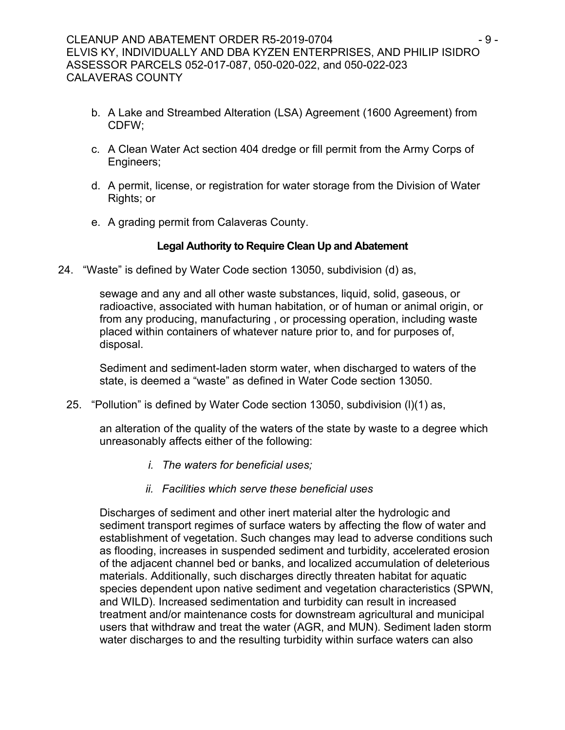- b. A Lake and Streambed Alteration (LSA) Agreement (1600 Agreement) from CDFW;
- c. A Clean Water Act section 404 dredge or fill permit from the Army Corps of Engineers;
- d. A permit, license, or registration for water storage from the Division of Water Rights; or
- e. A grading permit from Calaveras County.

# **Legal Authority to Require Clean Up and Abatement**

24. "Waste" is defined by Water Code section 13050, subdivision (d) as,

sewage and any and all other waste substances, liquid, solid, gaseous, or radioactive, associated with human habitation, or of human or animal origin, or from any producing, manufacturing , or processing operation, including waste placed within containers of whatever nature prior to, and for purposes of, disposal.

Sediment and sediment-laden storm water, when discharged to waters of the state, is deemed a "waste" as defined in Water Code section 13050.

25. "Pollution" is defined by Water Code section 13050, subdivision (l)(1) as,

an alteration of the quality of the waters of the state by waste to a degree which unreasonably affects either of the following:

- *i. The waters for beneficial uses;*
- *ii. Facilities which serve these beneficial uses*

Discharges of sediment and other inert material alter the hydrologic and sediment transport regimes of surface waters by affecting the flow of water and establishment of vegetation. Such changes may lead to adverse conditions such as flooding, increases in suspended sediment and turbidity, accelerated erosion of the adjacent channel bed or banks, and localized accumulation of deleterious materials. Additionally, such discharges directly threaten habitat for aquatic species dependent upon native sediment and vegetation characteristics (SPWN, and WILD). Increased sedimentation and turbidity can result in increased treatment and/or maintenance costs for downstream agricultural and municipal users that withdraw and treat the water (AGR, and MUN). Sediment laden storm water discharges to and the resulting turbidity within surface waters can also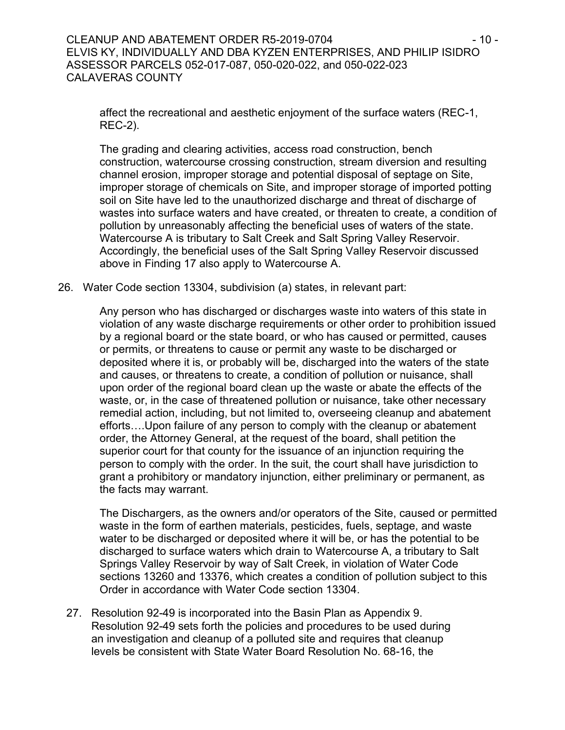affect the recreational and aesthetic enjoyment of the surface waters (REC-1, REC-2).

The grading and clearing activities, access road construction, bench construction, watercourse crossing construction, stream diversion and resulting channel erosion, improper storage and potential disposal of septage on Site, improper storage of chemicals on Site, and improper storage of imported potting soil on Site have led to the unauthorized discharge and threat of discharge of wastes into surface waters and have created, or threaten to create, a condition of pollution by unreasonably affecting the beneficial uses of waters of the state. Watercourse A is tributary to Salt Creek and Salt Spring Valley Reservoir. Accordingly, the beneficial uses of the Salt Spring Valley Reservoir discussed above in Finding 17 also apply to Watercourse A.

26. Water Code section 13304, subdivision (a) states, in relevant part:

Any person who has discharged or discharges waste into waters of this state in violation of any waste discharge requirements or other order to prohibition issued by a regional board or the state board, or who has caused or permitted, causes or permits, or threatens to cause or permit any waste to be discharged or deposited where it is, or probably will be, discharged into the waters of the state and causes, or threatens to create, a condition of pollution or nuisance, shall upon order of the regional board clean up the waste or abate the effects of the waste, or, in the case of threatened pollution or nuisance, take other necessary remedial action, including, but not limited to, overseeing cleanup and abatement efforts….Upon failure of any person to comply with the cleanup or abatement order, the Attorney General, at the request of the board, shall petition the superior court for that county for the issuance of an injunction requiring the person to comply with the order. In the suit, the court shall have jurisdiction to grant a prohibitory or mandatory injunction, either preliminary or permanent, as the facts may warrant.

The Dischargers, as the owners and/or operators of the Site, caused or permitted waste in the form of earthen materials, pesticides, fuels, septage, and waste water to be discharged or deposited where it will be, or has the potential to be discharged to surface waters which drain to Watercourse A, a tributary to Salt Springs Valley Reservoir by way of Salt Creek, in violation of Water Code sections 13260 and 13376, which creates a condition of pollution subject to this Order in accordance with Water Code section 13304.

27. Resolution 92-49 is incorporated into the Basin Plan as Appendix 9. Resolution 92-49 sets forth the policies and procedures to be used during an investigation and cleanup of a polluted site and requires that cleanup levels be consistent with State Water Board Resolution No. 68-16, the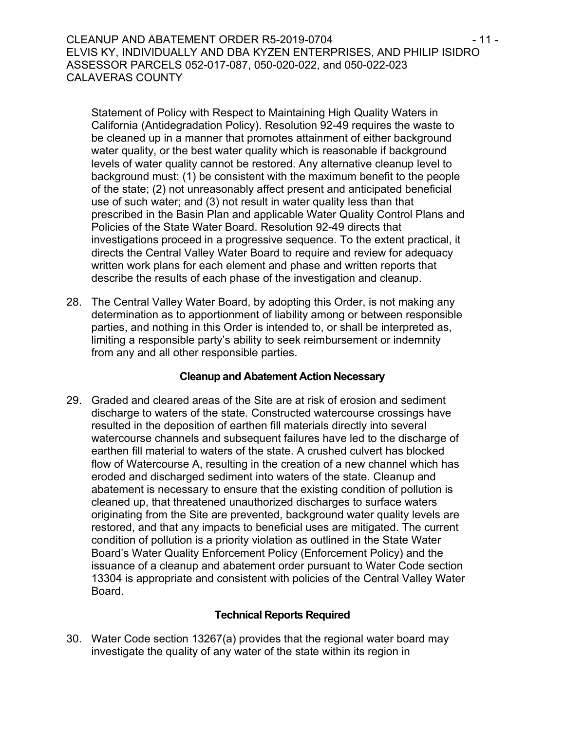CLEANUP AND ABATEMENT ORDER R5-2019-0704 **- 11 -** 11 -ELVIS KY, INDIVIDUALLY AND DBA KYZEN ENTERPRISES, AND PHILIP ISIDRO ASSESSOR PARCELS 052-017-087, 050-020-022, and 050-022-023 CALAVERAS COUNTY

Statement of Policy with Respect to Maintaining High Quality Waters in California (Antidegradation Policy). Resolution 92-49 requires the waste to be cleaned up in a manner that promotes attainment of either background water quality, or the best water quality which is reasonable if background levels of water quality cannot be restored. Any alternative cleanup level to background must: (1) be consistent with the maximum benefit to the people of the state; (2) not unreasonably affect present and anticipated beneficial use of such water; and (3) not result in water quality less than that prescribed in the Basin Plan and applicable Water Quality Control Plans and Policies of the State Water Board. Resolution 92-49 directs that investigations proceed in a progressive sequence. To the extent practical, it directs the Central Valley Water Board to require and review for adequacy written work plans for each element and phase and written reports that describe the results of each phase of the investigation and cleanup.

28. The Central Valley Water Board, by adopting this Order, is not making any determination as to apportionment of liability among or between responsible parties, and nothing in this Order is intended to, or shall be interpreted as, limiting a responsible party's ability to seek reimbursement or indemnity from any and all other responsible parties.

### **Cleanup and Abatement Action Necessary**

29. Graded and cleared areas of the Site are at risk of erosion and sediment discharge to waters of the state. Constructed watercourse crossings have resulted in the deposition of earthen fill materials directly into several watercourse channels and subsequent failures have led to the discharge of earthen fill material to waters of the state. A crushed culvert has blocked flow of Watercourse A, resulting in the creation of a new channel which has eroded and discharged sediment into waters of the state. Cleanup and abatement is necessary to ensure that the existing condition of pollution is cleaned up, that threatened unauthorized discharges to surface waters originating from the Site are prevented, background water quality levels are restored, and that any impacts to beneficial uses are mitigated. The current condition of pollution is a priority violation as outlined in the State Water Board's Water Quality Enforcement Policy (Enforcement Policy) and the issuance of a cleanup and abatement order pursuant to Water Code section 13304 is appropriate and consistent with policies of the Central Valley Water Board.

# **Technical Reports Required**

30. Water Code section 13267(a) provides that the regional water board may investigate the quality of any water of the state within its region in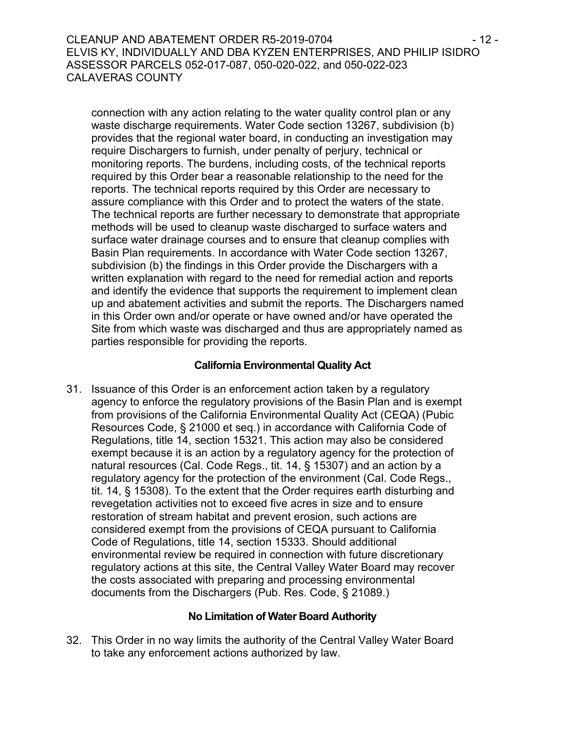CLEANUP AND ABATEMENT ORDER R5-2019-0704 - 12 - ELVIS KY, INDIVIDUALLY AND DBA KYZEN ENTERPRISES, AND PHILIP ISIDRO ASSESSOR PARCELS 052-017-087, 050-020-022, and 050-022-023 CALAVERAS COUNTY

connection with any action relating to the water quality control plan or any waste discharge requirements. Water Code section 13267, subdivision (b) provides that the regional water board, in conducting an investigation may require Dischargers to furnish, under penalty of perjury, technical or monitoring reports. The burdens, including costs, of the technical reports required by this Order bear a reasonable relationship to the need for the reports. The technical reports required by this Order are necessary to assure compliance with this Order and to protect the waters of the state. The technical reports are further necessary to demonstrate that appropriate methods will be used to cleanup waste discharged to surface waters and surface water drainage courses and to ensure that cleanup complies with Basin Plan requirements. In accordance with Water Code section 13267, subdivision (b) the findings in this Order provide the Dischargers with a written explanation with regard to the need for remedial action and reports and identify the evidence that supports the requirement to implement clean up and abatement activities and submit the reports. The Dischargers named in this Order own and/or operate or have owned and/or have operated the Site from which waste was discharged and thus are appropriately named as parties responsible for providing the reports.

### **California Environmental Quality Act**

31. Issuance of this Order is an enforcement action taken by a regulatory agency to enforce the regulatory provisions of the Basin Plan and is exempt from provisions of the California Environmental Quality Act (CEQA) (Pubic Resources Code, § 21000 et seq.) in accordance with California Code of Regulations, title 14, section 15321. This action may also be considered exempt because it is an action by a regulatory agency for the protection of natural resources (Cal. Code Regs., tit. 14, § 15307) and an action by a regulatory agency for the protection of the environment (Cal. Code Regs., tit. 14, § 15308). To the extent that the Order requires earth disturbing and revegetation activities not to exceed five acres in size and to ensure restoration of stream habitat and prevent erosion, such actions are considered exempt from the provisions of CEQA pursuant to California Code of Regulations, title 14, section 15333. Should additional environmental review be required in connection with future discretionary regulatory actions at this site, the Central Valley Water Board may recover the costs associated with preparing and processing environmental documents from the Dischargers (Pub. Res. Code, § 21089.)

### **No Limitation of Water Board Authority**

32. This Order in no way limits the authority of the Central Valley Water Board to take any enforcement actions authorized by law.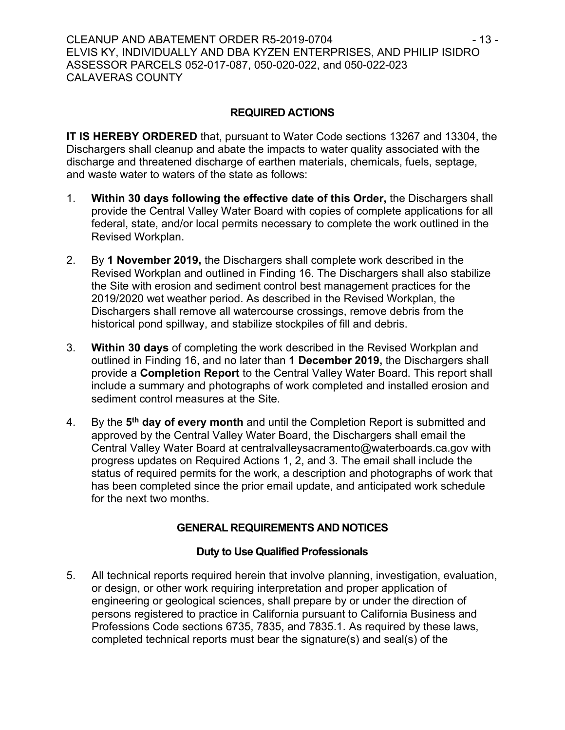## **REQUIRED ACTIONS**

**IT IS HEREBY ORDERED** that, pursuant to Water Code sections 13267 and 13304, the Dischargers shall cleanup and abate the impacts to water quality associated with the discharge and threatened discharge of earthen materials, chemicals, fuels, septage, and waste water to waters of the state as follows:

- 1. **Within 30 days following the effective date of this Order,** the Dischargers shall provide the Central Valley Water Board with copies of complete applications for all federal, state, and/or local permits necessary to complete the work outlined in the Revised Workplan.
- 2. By **1 November 2019,** the Dischargers shall complete work described in the Revised Workplan and outlined in Finding 16. The Dischargers shall also stabilize the Site with erosion and sediment control best management practices for the 2019/2020 wet weather period. As described in the Revised Workplan, the Dischargers shall remove all watercourse crossings, remove debris from the historical pond spillway, and stabilize stockpiles of fill and debris.
- 3. **Within 30 days** of completing the work described in the Revised Workplan and outlined in Finding 16, and no later than **1 December 2019,** the Dischargers shall provide a **Completion Report** to the Central Valley Water Board. This report shall include a summary and photographs of work completed and installed erosion and sediment control measures at the Site.
- 4. By the **5 th day of every month** and until the Completion Report is submitted and approved by the Central Valley Water Board, the Dischargers shall email the Central Valley Water Board at centralvalleysacramento@waterboards.ca.gov with progress updates on Required Actions 1, 2, and 3. The email shall include the status of required permits for the work, a description and photographs of work that has been completed since the prior email update, and anticipated work schedule for the next two months.

# **GENERAL REQUIREMENTS AND NOTICES**

# **Duty to Use Qualified Professionals**

5. All technical reports required herein that involve planning, investigation, evaluation, or design, or other work requiring interpretation and proper application of engineering or geological sciences, shall prepare by or under the direction of persons registered to practice in California pursuant to California Business and Professions Code sections 6735, 7835, and 7835.1. As required by these laws, completed technical reports must bear the signature(s) and seal(s) of the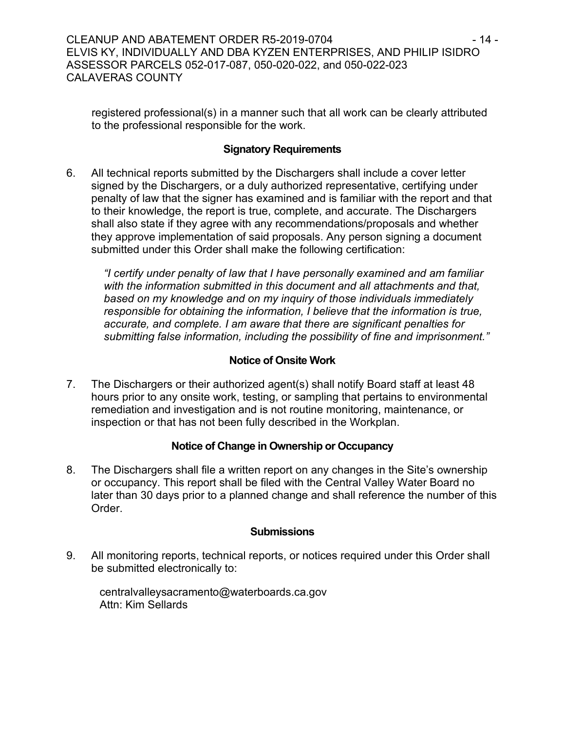registered professional(s) in a manner such that all work can be clearly attributed to the professional responsible for the work.

## **Signatory Requirements**

6. All technical reports submitted by the Dischargers shall include a cover letter signed by the Dischargers, or a duly authorized representative, certifying under penalty of law that the signer has examined and is familiar with the report and that to their knowledge, the report is true, complete, and accurate. The Dischargers shall also state if they agree with any recommendations/proposals and whether they approve implementation of said proposals. Any person signing a document submitted under this Order shall make the following certification:

*"I certify under penalty of law that I have personally examined and am familiar with the information submitted in this document and all attachments and that, based on my knowledge and on my inquiry of those individuals immediately responsible for obtaining the information, I believe that the information is true, accurate, and complete. I am aware that there are significant penalties for submitting false information, including the possibility of fine and imprisonment."*

## **Notice of Onsite Work**

7. The Dischargers or their authorized agent(s) shall notify Board staff at least 48 hours prior to any onsite work, testing, or sampling that pertains to environmental remediation and investigation and is not routine monitoring, maintenance, or inspection or that has not been fully described in the Workplan.

### **Notice of Change in Ownership or Occupancy**

8. The Dischargers shall file a written report on any changes in the Site's ownership or occupancy. This report shall be filed with the Central Valley Water Board no later than 30 days prior to a planned change and shall reference the number of this Order.

### **Submissions**

9. All monitoring reports, technical reports, or notices required under this Order shall be submitted electronically to:

centralvalleysacramento@waterboards.ca.gov Attn: Kim Sellards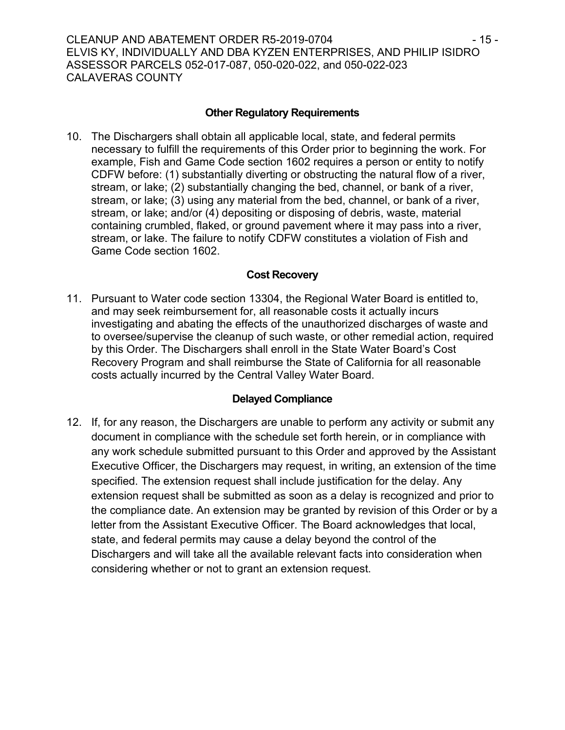CLEANUP AND ABATEMENT ORDER R5-2019-0704 - 15 - ELVIS KY, INDIVIDUALLY AND DBA KYZEN ENTERPRISES, AND PHILIP ISIDRO ASSESSOR PARCELS 052-017-087, 050-020-022, and 050-022-023 CALAVERAS COUNTY

### **Other Regulatory Requirements**

10. The Dischargers shall obtain all applicable local, state, and federal permits necessary to fulfill the requirements of this Order prior to beginning the work. For example, Fish and Game Code section 1602 requires a person or entity to notify CDFW before: (1) substantially diverting or obstructing the natural flow of a river, stream, or lake; (2) substantially changing the bed, channel, or bank of a river, stream, or lake; (3) using any material from the bed, channel, or bank of a river, stream, or lake; and/or (4) depositing or disposing of debris, waste, material containing crumbled, flaked, or ground pavement where it may pass into a river, stream, or lake. The failure to notify CDFW constitutes a violation of Fish and Game Code section 1602.

#### **Cost Recovery**

11. Pursuant to Water code section 13304, the Regional Water Board is entitled to, and may seek reimbursement for, all reasonable costs it actually incurs investigating and abating the effects of the unauthorized discharges of waste and to oversee/supervise the cleanup of such waste, or other remedial action, required by this Order. The Dischargers shall enroll in the State Water Board's Cost Recovery Program and shall reimburse the State of California for all reasonable costs actually incurred by the Central Valley Water Board.

### **Delayed Compliance**

12. If, for any reason, the Dischargers are unable to perform any activity or submit any document in compliance with the schedule set forth herein, or in compliance with any work schedule submitted pursuant to this Order and approved by the Assistant Executive Officer, the Dischargers may request, in writing, an extension of the time specified. The extension request shall include justification for the delay. Any extension request shall be submitted as soon as a delay is recognized and prior to the compliance date. An extension may be granted by revision of this Order or by a letter from the Assistant Executive Officer. The Board acknowledges that local, state, and federal permits may cause a delay beyond the control of the Dischargers and will take all the available relevant facts into consideration when considering whether or not to grant an extension request.